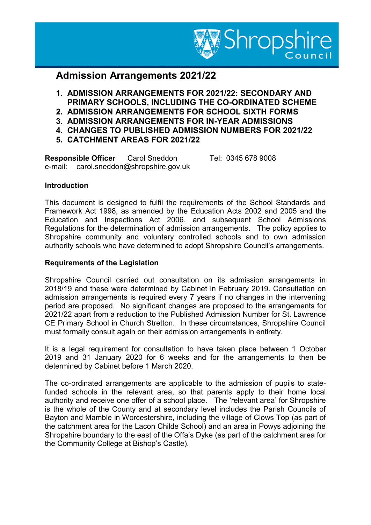

# **Admission Arrangements 2021/22**

- **1. ADMISSION ARRANGEMENTS FOR 2021/22: SECONDARY AND PRIMARY SCHOOLS, INCLUDING THE CO-ORDINATED SCHEME**
- **2. ADMISSION ARRANGEMENTS FOR SCHOOL SIXTH FORMS**
- **3. ADMISSION ARRANGEMENTS FOR IN-YEAR ADMISSIONS**
- **4. CHANGES TO PUBLISHED ADMISSION NUMBERS FOR 2021/22**
- **5. CATCHMENT AREAS FOR 2021/22**

**Responsible Officer** Carol Sneddon Tel: 0345 678 9008 e-mail: carol.sneddon@shropshire.gov.uk

# **Introduction**

This document is designed to fulfil the requirements of the School Standards and Framework Act 1998, as amended by the Education Acts 2002 and 2005 and the Education and Inspections Act 2006, and subsequent School Admissions Regulations for the determination of admission arrangements. The policy applies to Shropshire community and voluntary controlled schools and to own admission authority schools who have determined to adopt Shropshire Council's arrangements.

## **Requirements of the Legislation**

Shropshire Council carried out consultation on its admission arrangements in 2018/19 and these were determined by Cabinet in February 2019. Consultation on admission arrangements is required every 7 years if no changes in the intervening period are proposed. No significant changes are proposed to the arrangements for 2021/22 apart from a reduction to the Published Admission Number for St. Lawrence CE Primary School in Church Stretton. In these circumstances, Shropshire Council must formally consult again on their admission arrangements in entirety.

It is a legal requirement for consultation to have taken place between 1 October 2019 and 31 January 2020 for 6 weeks and for the arrangements to then be determined by Cabinet before 1 March 2020.

The co-ordinated arrangements are applicable to the admission of pupils to statefunded schools in the relevant area, so that parents apply to their home local authority and receive one offer of a school place. The 'relevant area' for Shropshire is the whole of the County and at secondary level includes the Parish Councils of Bayton and Mamble in Worcestershire, including the village of Clows Top (as part of the catchment area for the Lacon Childe School) and an area in Powys adjoining the Shropshire boundary to the east of the Offa's Dyke (as part of the catchment area for the Community College at Bishop's Castle).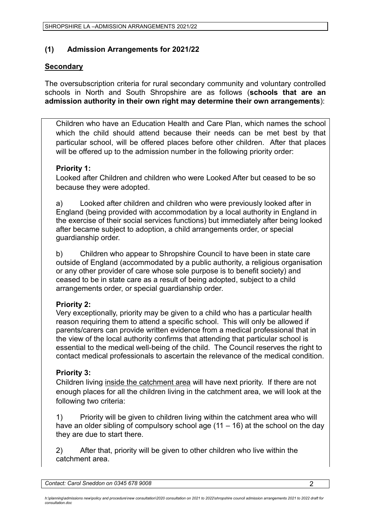# **(1) Admission Arrangements for 2021/22**

# **Secondary**

The oversubscription criteria for rural secondary community and voluntary controlled schools in North and South Shropshire are as follows (**schools that are an admission authority in their own right may determine their own arrangements**):

Children who have an Education Health and Care Plan, which names the school which the child should attend because their needs can be met best by that particular school, will be offered places before other children. After that places will be offered up to the admission number in the following priority order:

# **Priority 1:**

Looked after Children and children who were Looked After but ceased to be so because they were adopted.

a) Looked after children and children who were previously looked after in England (being provided with accommodation by a local authority in England in the exercise of their social services functions) but immediately after being looked after became subject to adoption, a child arrangements order, or special guardianship order.

b) Children who appear to Shropshire Council to have been in state care outside of England (accommodated by a public authority, a religious organisation or any other provider of care whose sole purpose is to benefit society) and ceased to be in state care as a result of being adopted, subject to a child arrangements order, or special guardianship order.

# **Priority 2:**

Very exceptionally, priority may be given to a child who has a particular health reason requiring them to attend a specific school. This will only be allowed if parents/carers can provide written evidence from a medical professional that in the view of the local authority confirms that attending that particular school is essential to the medical well-being of the child. The Council reserves the right to contact medical professionals to ascertain the relevance of the medical condition.

# **Priority 3:**

Children living inside the catchment area will have next priority. If there are not enough places for all the children living in the catchment area, we will look at the following two criteria:

1) Priority will be given to children living within the catchment area who will have an older sibling of compulsory school age  $(11 - 16)$  at the school on the day they are due to start there.

2) After that, priority will be given to other children who live within the catchment area.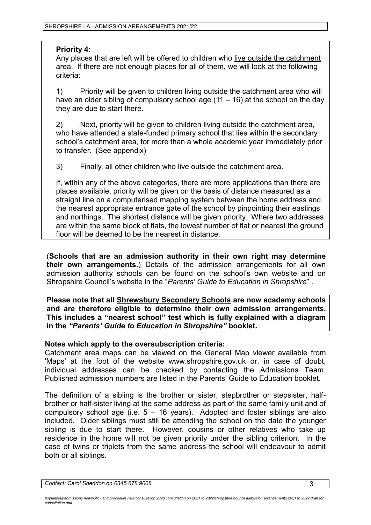## **Priority 4:**

Any places that are left will be offered to children who live outside the catchment area. If there are not enough places for all of them, we will look at the following criteria:

1) Priority will be given to children living outside the catchment area who will have an older sibling of compulsory school age  $(11 - 16)$  at the school on the day they are due to start there.

2) Next, priority will be given to children living outside the catchment area, who have attended a state-funded primary school that lies within the secondary school's catchment area, for more than a whole academic year immediately prior to transfer. (See appendix)

3) Finally, all other children who live outside the catchment area.

If, within any of the above categories, there are more applications than there are places available, priority will be given on the basis of distance measured as a straight line on a computerised mapping system between the home address and the nearest appropriate entrance gate of the school by pinpointing their eastings and northings. The shortest distance will be given priority. Where two addresses are within the same block of flats, the lowest number of flat or nearest the ground floor will be deemed to be the nearest in distance.

(**Schools that are an admission authority in their own right may determine their own arrangements.**) Details of the admission arrangements for all own admission authority schools can be found on the school's own website and on Shropshire Council's website in the "*Parents' Guide to Education in Shropshire*" .

**Please note that all Shrewsbury Secondary Schools are now academy schools and are therefore eligible to determine their own admission arrangements. This includes a "nearest school" test which is fully explained with a diagram in the** *"Parents' Guide to Education in Shropshire"* **booklet.**

## **Notes which apply to the oversubscription criteria:**

Catchment area maps can be viewed on the General Map viewer available from 'Maps' at the foot of the website www.shropshire.gov.uk or, in case of doubt, individual addresses can be checked by contacting the Admissions Team. Published admission numbers are listed in the Parents' Guide to Education booklet.

The definition of a sibling is the brother or sister, stepbrother or stepsister, halfbrother or half-sister living at the same address as part of the same family unit and of compulsory school age (i.e.  $5 - 16$  years). Adopted and foster siblings are also included. Older siblings must still be attending the school on the date the younger sibling is due to start there. However, cousins or other relatives who take up residence in the home will not be given priority under the sibling criterion. In the case of twins or triplets from the same address the school will endeavour to admit both or all siblings.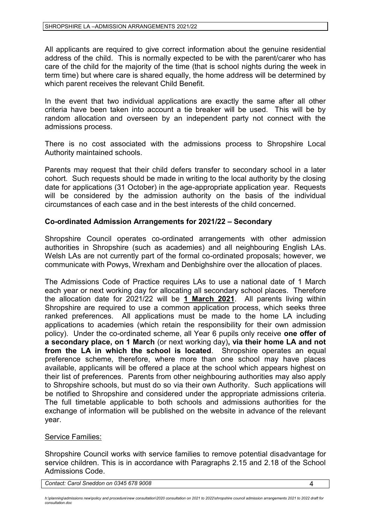All applicants are required to give correct information about the genuine residential address of the child. This is normally expected to be with the parent/carer who has care of the child for the majority of the time (that is school nights during the week in term time) but where care is shared equally, the home address will be determined by which parent receives the relevant Child Benefit.

In the event that two individual applications are exactly the same after all other criteria have been taken into account a tie breaker will be used. This will be by random allocation and overseen by an independent party not connect with the admissions process.

There is no cost associated with the admissions process to Shropshire Local Authority maintained schools.

Parents may request that their child defers transfer to secondary school in a later cohort. Such requests should be made in writing to the local authority by the closing date for applications (31 October) in the age-appropriate application year. Requests will be considered by the admission authority on the basis of the individual circumstances of each case and in the best interests of the child concerned.

## **Co-ordinated Admission Arrangements for 2021/22 – Secondary**

Shropshire Council operates co-ordinated arrangements with other admission authorities in Shropshire (such as academies) and all neighbouring English LAs. Welsh LAs are not currently part of the formal co-ordinated proposals; however, we communicate with Powys, Wrexham and Denbighshire over the allocation of places.

The Admissions Code of Practice requires LAs to use a national date of 1 March each year or next working day for allocating all secondary school places. Therefore the allocation date for 2021/22 will be **1 March 2021**. All parents living within Shropshire are required to use a common application process, which seeks three ranked preferences. All applications must be made to the home LA including applications to academies (which retain the responsibility for their own admission policy). Under the co-ordinated scheme, all Year 6 pupils only receive **one offer of a secondary place, on 1 March** (or next working day)**, via their home LA and not from the LA in which the school is located**. Shropshire operates an equal preference scheme, therefore, where more than one school may have places available, applicants will be offered a place at the school which appears highest on their list of preferences. Parents from other neighbouring authorities may also apply to Shropshire schools, but must do so via their own Authority. Such applications will be notified to Shropshire and considered under the appropriate admissions criteria. The full timetable applicable to both schools and admissions authorities for the exchange of information will be published on the website in advance of the relevant year.

## Service Families:

Shropshire Council works with service families to remove potential disadvantage for service children. This is in accordance with Paragraphs 2.15 and 2.18 of the School Admissions Code.

*Contact: Carol Sneddon on 0345 678 9008* 4

h:\planning\admissions new\policy and procedure\new consultation\2020 consultation on 2021 to 2022\shropshire council admission arrangements 2021 to 2022 draft for *consultation.doc*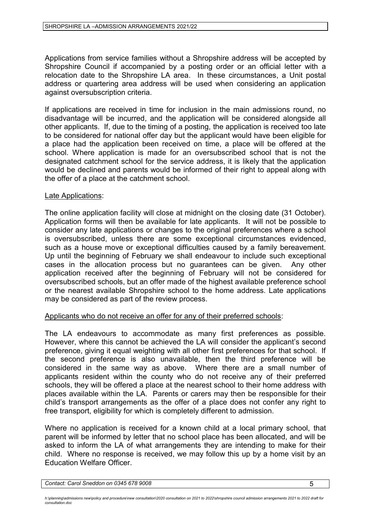Applications from service families without a Shropshire address will be accepted by Shropshire Council if accompanied by a posting order or an official letter with a relocation date to the Shropshire LA area. In these circumstances, a Unit postal address or quartering area address will be used when considering an application against oversubscription criteria.

If applications are received in time for inclusion in the main admissions round, no disadvantage will be incurred, and the application will be considered alongside all other applicants. If, due to the timing of a posting, the application is received too late to be considered for national offer day but the applicant would have been eligible for a place had the application been received on time, a place will be offered at the school. Where application is made for an oversubscribed school that is not the designated catchment school for the service address, it is likely that the application would be declined and parents would be informed of their right to appeal along with the offer of a place at the catchment school.

### Late Applications:

The online application facility will close at midnight on the closing date (31 October). Application forms will then be available for late applicants. It will not be possible to consider any late applications or changes to the original preferences where a school is oversubscribed, unless there are some exceptional circumstances evidenced, such as a house move or exceptional difficulties caused by a family bereavement. Up until the beginning of February we shall endeavour to include such exceptional cases in the allocation process but no guarantees can be given. Any other application received after the beginning of February will not be considered for oversubscribed schools, but an offer made of the highest available preference school or the nearest available Shropshire school to the home address. Late applications may be considered as part of the review process.

#### Applicants who do not receive an offer for any of their preferred schools:

The LA endeavours to accommodate as many first preferences as possible. However, where this cannot be achieved the LA will consider the applicant's second preference, giving it equal weighting with all other first preferences for that school. If the second preference is also unavailable, then the third preference will be considered in the same way as above. Where there are a small number of applicants resident within the county who do not receive any of their preferred schools, they will be offered a place at the nearest school to their home address with places available within the LA. Parents or carers may then be responsible for their child's transport arrangements as the offer of a place does not confer any right to free transport, eligibility for which is completely different to admission.

Where no application is received for a known child at a local primary school, that parent will be informed by letter that no school place has been allocated, and will be asked to inform the LA of what arrangements they are intending to make for their child. Where no response is received, we may follow this up by a home visit by an Education Welfare Officer.

h:\planning\admissions new\policy and procedure\new consultation\2020 consultation on 2021 to 2022\shropshire council admission arrangements 2021 to 2022 draft for *consultation.doc*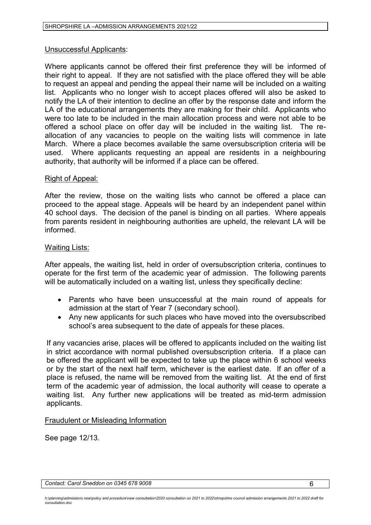### Unsuccessful Applicants:

Where applicants cannot be offered their first preference they will be informed of their right to appeal. If they are not satisfied with the place offered they will be able to request an appeal and pending the appeal their name will be included on a waiting list. Applicants who no longer wish to accept places offered will also be asked to notify the LA of their intention to decline an offer by the response date and inform the LA of the educational arrangements they are making for their child. Applicants who were too late to be included in the main allocation process and were not able to be offered a school place on offer day will be included in the waiting list. The reallocation of any vacancies to people on the waiting lists will commence in late March. Where a place becomes available the same oversubscription criteria will be used. Where applicants requesting an appeal are residents in a neighbouring authority, that authority will be informed if a place can be offered.

### Right of Appeal:

After the review, those on the waiting lists who cannot be offered a place can proceed to the appeal stage. Appeals will be heard by an independent panel within 40 school days. The decision of the panel is binding on all parties. Where appeals from parents resident in neighbouring authorities are upheld, the relevant LA will be informed.

### Waiting Lists:

After appeals, the waiting list, held in order of oversubscription criteria, continues to operate for the first term of the academic year of admission. The following parents will be automatically included on a waiting list, unless they specifically decline:

- Parents who have been unsuccessful at the main round of appeals for admission at the start of Year 7 (secondary school).
- Any new applicants for such places who have moved into the oversubscribed school's area subsequent to the date of appeals for these places.

If any vacancies arise, places will be offered to applicants included on the waiting list in strict accordance with normal published oversubscription criteria. If a place can be offered the applicant will be expected to take up the place within 6 school weeks or by the start of the next half term, whichever is the earliest date. If an offer of a place is refused, the name will be removed from the waiting list. At the end of first term of the academic year of admission, the local authority will cease to operate a waiting list. Any further new applications will be treated as mid-term admission applicants.

## Fraudulent or Misleading Information

See page 12/13.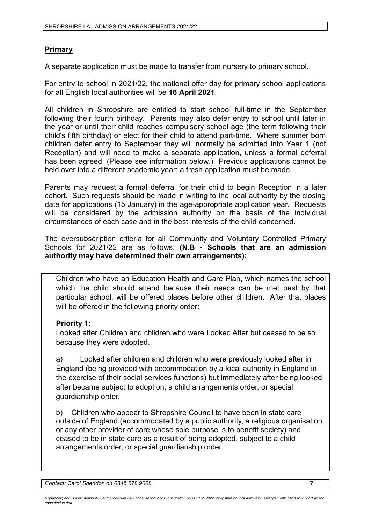# **Primary**

A separate application must be made to transfer from nursery to primary school.

For entry to school in 2021/22, the national offer day for primary school applications for all English local authorities will be **16 April 2021**.

All children in Shropshire are entitled to start school full-time in the September following their fourth birthday. Parents may also defer entry to school until later in the year or until their child reaches compulsory school age (the term following their child's fifth birthday) or elect for their child to attend part-time. Where summer born children defer entry to September they will normally be admitted into Year 1 (not Reception) and will need to make a separate application, unless a formal deferral has been agreed. (Please see information below.) Previous applications cannot be held over into a different academic year; a fresh application must be made.

Parents may request a formal deferral for their child to begin Reception in a later cohort. Such requests should be made in writing to the local authority by the closing date for applications (15 January) in the age-appropriate application year. Requests will be considered by the admission authority on the basis of the individual circumstances of each case and in the best interests of the child concerned.

The oversubscription criteria for all Community and Voluntary Controlled Primary Schools for 2021/22 are as follows. **(N.B - Schools that are an admission authority may have determined their own arrangements):**

Children who have an Education Health and Care Plan, which names the school which the child should attend because their needs can be met best by that particular school, will be offered places before other children. After that places will be offered in the following priority order:

## **Priority 1:**

Looked after Children and children who were Looked After but ceased to be so because they were adopted.

a) Looked after children and children who were previously looked after in England (being provided with accommodation by a local authority in England in the exercise of their social services functions) but immediately after being looked after became subject to adoption, a child arrangements order, or special guardianship order.

b) Children who appear to Shropshire Council to have been in state care outside of England (accommodated by a public authority, a religious organisation or any other provider of care whose sole purpose is to benefit society) and ceased to be in state care as a result of being adopted, subject to a child arrangements order, or special guardianship order.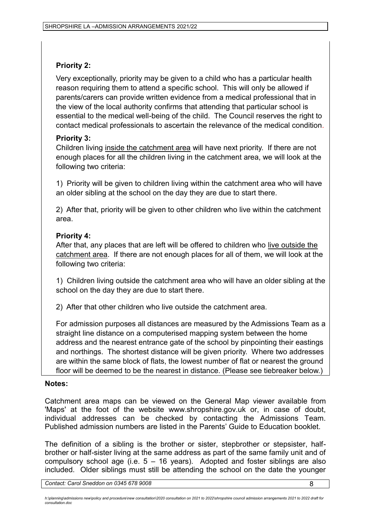# **Priority 2:**

Very exceptionally, priority may be given to a child who has a particular health reason requiring them to attend a specific school. This will only be allowed if parents/carers can provide written evidence from a medical professional that in the view of the local authority confirms that attending that particular school is essential to the medical well-being of the child. The Council reserves the right to contact medical professionals to ascertain the relevance of the medical condition.

# **Priority 3:**

Children living inside the catchment area will have next priority. If there are not enough places for all the children living in the catchment area, we will look at the following two criteria:

1) Priority will be given to children living within the catchment area who will have an older sibling at the school on the day they are due to start there.

2) After that, priority will be given to other children who live within the catchment area.

# **Priority 4:**

After that, any places that are left will be offered to children who live outside the catchment area. If there are not enough places for all of them, we will look at the following two criteria:

1) Children living outside the catchment area who will have an older sibling at the school on the day they are due to start there.

2) After that other children who live outside the catchment area.

For admission purposes all distances are measured by the Admissions Team as a straight line distance on a computerised mapping system between the home address and the nearest entrance gate of the school by pinpointing their eastings and northings. The shortest distance will be given priority. Where two addresses are within the same block of flats, the lowest number of flat or nearest the ground floor will be deemed to be the nearest in distance. (Please see tiebreaker below.)

# **Notes:**

Catchment area maps can be viewed on the General Map viewer available from 'Maps' at the foot of the website www.shropshire.gov.uk or, in case of doubt, individual addresses can be checked by contacting the Admissions Team. Published admission numbers are listed in the Parents' Guide to Education booklet.

The definition of a sibling is the brother or sister, stepbrother or stepsister, halfbrother or half-sister living at the same address as part of the same family unit and of compulsory school age (i.e.  $5 - 16$  years). Adopted and foster siblings are also included. Older siblings must still be attending the school on the date the younger

h:\planning\admissions new\policy and procedure\new consultation\2020 consultation on 2021 to 2022\shropshire council admission arrangements 2021 to 2022 draft for *consultation.doc*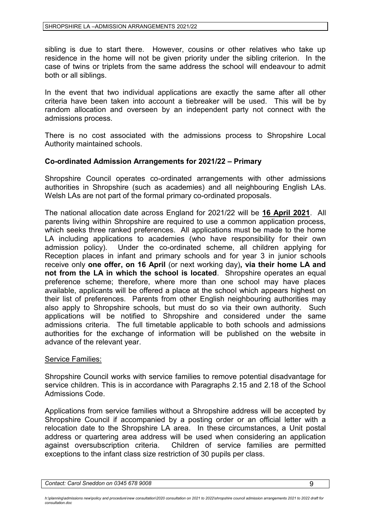sibling is due to start there. However, cousins or other relatives who take up residence in the home will not be given priority under the sibling criterion. In the case of twins or triplets from the same address the school will endeavour to admit both or all siblings.

In the event that two individual applications are exactly the same after all other criteria have been taken into account a tiebreaker will be used. This will be by random allocation and overseen by an independent party not connect with the admissions process.

There is no cost associated with the admissions process to Shropshire Local Authority maintained schools.

## **Co-ordinated Admission Arrangements for 2021/22 – Primary**

Shropshire Council operates co-ordinated arrangements with other admissions authorities in Shropshire (such as academies) and all neighbouring English LAs. Welsh LAs are not part of the formal primary co-ordinated proposals.

The national allocation date across England for 2021/22 will be **16 April 2021**. All parents living within Shropshire are required to use a common application process, which seeks three ranked preferences. All applications must be made to the home LA including applications to academies (who have responsibility for their own admission policy). Under the co-ordinated scheme, all children applying for Reception places in infant and primary schools and for year 3 in junior schools receive only **one offer, on 16 April** (or next working day)**, via their home LA and not from the LA in which the school is located**. Shropshire operates an equal preference scheme; therefore, where more than one school may have places available, applicants will be offered a place at the school which appears highest on their list of preferences. Parents from other English neighbouring authorities may also apply to Shropshire schools, but must do so via their own authority. Such applications will be notified to Shropshire and considered under the same admissions criteria. The full timetable applicable to both schools and admissions authorities for the exchange of information will be published on the website in advance of the relevant year.

#### Service Families:

Shropshire Council works with service families to remove potential disadvantage for service children. This is in accordance with Paragraphs 2.15 and 2.18 of the School Admissions Code.

Applications from service families without a Shropshire address will be accepted by Shropshire Council if accompanied by a posting order or an official letter with a relocation date to the Shropshire LA area. In these circumstances, a Unit postal address or quartering area address will be used when considering an application against oversubscription criteria. Children of service families are permitted exceptions to the infant class size restriction of 30 pupils per class.

h:\planning\admissions new\policy and procedure\new consultation\2020 consultation on 2021 to 2022\shropshire council admission arrangements 2021 to 2022 draft for *consultation.doc*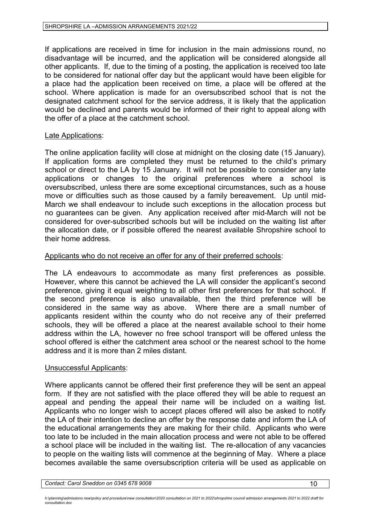If applications are received in time for inclusion in the main admissions round, no disadvantage will be incurred, and the application will be considered alongside all other applicants. If, due to the timing of a posting, the application is received too late to be considered for national offer day but the applicant would have been eligible for a place had the application been received on time, a place will be offered at the school. Where application is made for an oversubscribed school that is not the designated catchment school for the service address, it is likely that the application would be declined and parents would be informed of their right to appeal along with the offer of a place at the catchment school.

### Late Applications:

The online application facility will close at midnight on the closing date (15 January). If application forms are completed they must be returned to the child's primary school or direct to the LA by 15 January. It will not be possible to consider any late applications or changes to the original preferences where a school is oversubscribed, unless there are some exceptional circumstances, such as a house move or difficulties such as those caused by a family bereavement. Up until mid-March we shall endeavour to include such exceptions in the allocation process but no guarantees can be given. Any application received after mid-March will not be considered for over-subscribed schools but will be included on the waiting list after the allocation date, or if possible offered the nearest available Shropshire school to their home address.

### Applicants who do not receive an offer for any of their preferred schools:

The LA endeavours to accommodate as many first preferences as possible. However, where this cannot be achieved the LA will consider the applicant's second preference, giving it equal weighting to all other first preferences for that school. If the second preference is also unavailable, then the third preference will be considered in the same way as above. Where there are a small number of applicants resident within the county who do not receive any of their preferred schools, they will be offered a place at the nearest available school to their home address within the LA, however no free school transport will be offered unless the school offered is either the catchment area school or the nearest school to the home address and it is more than 2 miles distant.

#### Unsuccessful Applicants:

Where applicants cannot be offered their first preference they will be sent an appeal form. If they are not satisfied with the place offered they will be able to request an appeal and pending the appeal their name will be included on a waiting list. Applicants who no longer wish to accept places offered will also be asked to notify the LA of their intention to decline an offer by the response date and inform the LA of the educational arrangements they are making for their child. Applicants who were too late to be included in the main allocation process and were not able to be offered a school place will be included in the waiting list. The re-allocation of any vacancies to people on the waiting lists will commence at the beginning of May. Where a place becomes available the same oversubscription criteria will be used as applicable on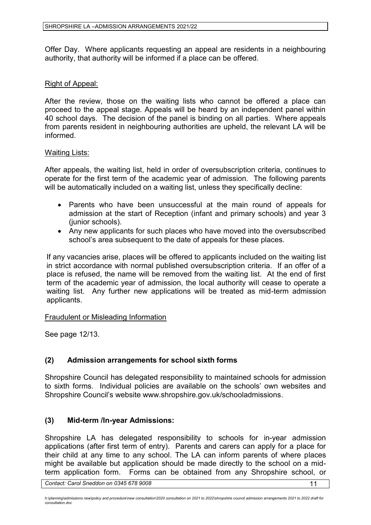Offer Day. Where applicants requesting an appeal are residents in a neighbouring authority, that authority will be informed if a place can be offered.

### Right of Appeal:

After the review, those on the waiting lists who cannot be offered a place can proceed to the appeal stage. Appeals will be heard by an independent panel within 40 school days. The decision of the panel is binding on all parties. Where appeals from parents resident in neighbouring authorities are upheld, the relevant LA will be informed.

### Waiting Lists:

After appeals, the waiting list, held in order of oversubscription criteria, continues to operate for the first term of the academic year of admission. The following parents will be automatically included on a waiting list, unless they specifically decline:

- Parents who have been unsuccessful at the main round of appeals for admission at the start of Reception (infant and primary schools) and year 3 (junior schools).
- Any new applicants for such places who have moved into the oversubscribed school's area subsequent to the date of appeals for these places.

If any vacancies arise, places will be offered to applicants included on the waiting list in strict accordance with normal published oversubscription criteria. If an offer of a place is refused, the name will be removed from the waiting list. At the end of first term of the academic year of admission, the local authority will cease to operate a waiting list. Any further new applications will be treated as mid-term admission applicants.

Fraudulent or Misleading Information

See page 12/13.

## **(2) Admission arrangements for school sixth forms**

Shropshire Council has delegated responsibility to maintained schools for admission to sixth forms. Individual policies are available on the schools' own websites and Shropshire Council's website www.shropshire.gov.uk/schooladmissions.

## **(3) Mid-term /In-year Admissions:**

Shropshire LA has delegated responsibility to schools for in-year admission applications (after first term of entry). Parents and carers can apply for a place for their child at any time to any school. The LA can inform parents of where places might be available but application should be made directly to the school on a midterm application form. Forms can be obtained from any Shropshire school, or

h:\planning\admissions new\policy and procedure\new consultation\2020 consultation on 2021 to 2022\shropshire council admission arrangements 2021 to 2022 draft for *consultation.doc*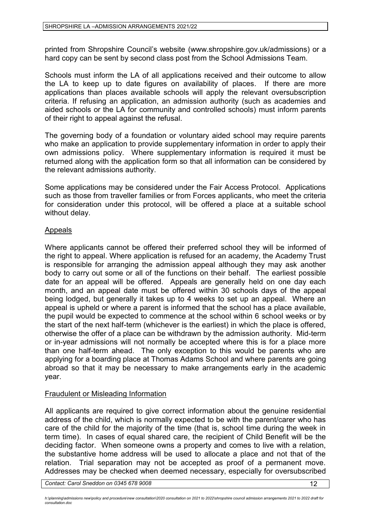printed from Shropshire Council's website (www.shropshire.gov.uk/admissions) or a hard copy can be sent by second class post from the School Admissions Team.

Schools must inform the LA of all applications received and their outcome to allow the LA to keep up to date figures on availability of places. If there are more applications than places available schools will apply the relevant oversubscription criteria. If refusing an application, an admission authority (such as academies and aided schools or the LA for community and controlled schools) must inform parents of their right to appeal against the refusal.

The governing body of a foundation or voluntary aided school may require parents who make an application to provide supplementary information in order to apply their own admissions policy. Where supplementary information is required it must be returned along with the application form so that all information can be considered by the relevant admissions authority.

Some applications may be considered under the Fair Access Protocol. Applications such as those from traveller families or from Forces applicants, who meet the criteria for consideration under this protocol, will be offered a place at a suitable school without delay.

## Appeals

Where applicants cannot be offered their preferred school they will be informed of the right to appeal. Where application is refused for an academy, the Academy Trust is responsible for arranging the admission appeal although they may ask another body to carry out some or all of the functions on their behalf. The earliest possible date for an appeal will be offered. Appeals are generally held on one day each month, and an appeal date must be offered within 30 schools days of the appeal being lodged, but generally it takes up to 4 weeks to set up an appeal. Where an appeal is upheld or where a parent is informed that the school has a place available, the pupil would be expected to commence at the school within 6 school weeks or by the start of the next half-term (whichever is the earliest) in which the place is offered, otherwise the offer of a place can be withdrawn by the admission authority. Mid-term or in-year admissions will not normally be accepted where this is for a place more than one half-term ahead. The only exception to this would be parents who are applying for a boarding place at Thomas Adams School and where parents are going abroad so that it may be necessary to make arrangements early in the academic year.

## Fraudulent or Misleading Information

All applicants are required to give correct information about the genuine residential address of the child, which is normally expected to be with the parent/carer who has care of the child for the majority of the time (that is, school time during the week in term time). In cases of equal shared care, the recipient of Child Benefit will be the deciding factor. When someone owns a property and comes to live with a relation, the substantive home address will be used to allocate a place and not that of the relation. Trial separation may not be accepted as proof of a permanent move. Addresses may be checked when deemed necessary, especially for oversubscribed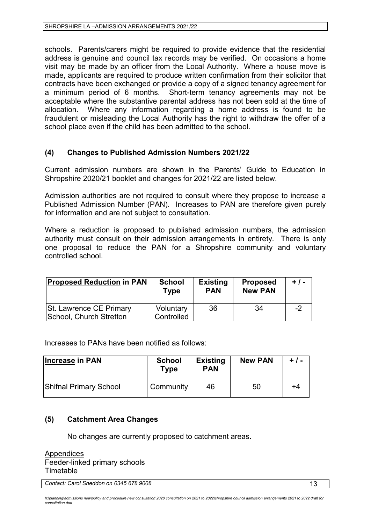schools. Parents/carers might be required to provide evidence that the residential address is genuine and council tax records may be verified. On occasions a home visit may be made by an officer from the Local Authority. Where a house move is made, applicants are required to produce written confirmation from their solicitor that contracts have been exchanged or provide a copy of a signed tenancy agreement for a minimum period of 6 months. Short-term tenancy agreements may not be acceptable where the substantive parental address has not been sold at the time of allocation. Where any information regarding a home address is found to be fraudulent or misleading the Local Authority has the right to withdraw the offer of a school place even if the child has been admitted to the school.

## **(4) Changes to Published Admission Numbers 2021/22**

Current admission numbers are shown in the Parents' Guide to Education in Shropshire 2020/21 booklet and changes for 2021/22 are listed below.

Admission authorities are not required to consult where they propose to increase a Published Admission Number (PAN). Increases to PAN are therefore given purely for information and are not subject to consultation.

Where a reduction is proposed to published admission numbers, the admission authority must consult on their admission arrangements in entirety. There is only one proposal to reduce the PAN for a Shropshire community and voluntary controlled school.

| <b>Proposed Reduction in PAN</b>                   | <b>School</b><br><b>Type</b> | <b>Existing</b><br><b>PAN</b> | <b>Proposed</b><br><b>New PAN</b> | $+ 1 -$ |
|----------------------------------------------------|------------------------------|-------------------------------|-----------------------------------|---------|
| St. Lawrence CE Primary<br>School, Church Stretton | Voluntary<br>Controlled      | 36                            | 34                                | -2      |

Increases to PANs have been notified as follows:

| <b>Increase in PAN</b> | <b>School</b><br>Type | <b>Existing</b><br><b>PAN</b> | <b>New PAN</b> | $+ 1 -$ |
|------------------------|-----------------------|-------------------------------|----------------|---------|
| Shifnal Primary School | Community             | 46                            | 50             | +4      |

## **(5) Catchment Area Changes**

No changes are currently proposed to catchment areas.

Appendices Feeder-linked primary schools Timetable

**Contact: Carol Sneddon on 0345 678 9008** 13

h:\planning\admissions new\policy and procedure\new consultation\2020 consultation on 2021 to 2022\shropshire council admission arrangements 2021 to 2022 draft for *consultation.doc*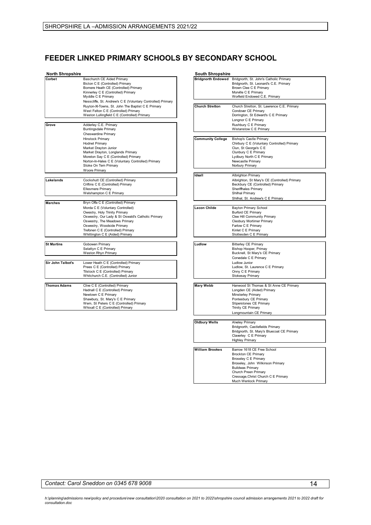## **FEEDER LINKED PRIMARY SCHOOLS BY SECONDARY SCHOOL**

| <b>North Shropshire</b> |                                                                                                                                                                                                                                                                                                     | <b>South Shropshire</b>   |                                                                                                                                                                                                     |
|-------------------------|-----------------------------------------------------------------------------------------------------------------------------------------------------------------------------------------------------------------------------------------------------------------------------------------------------|---------------------------|-----------------------------------------------------------------------------------------------------------------------------------------------------------------------------------------------------|
| Corbet                  | Baschurch CE Aided Primary<br>Bicton C E (Controlled) Primary<br>Bomere Heath CE (Controlled) Primary<br>Kinnerley C E (Controlled) Primary<br>Myddle C E Primary<br>Nesscliffe, St. Andrew's C E (Voluntary Controlled) Primary                                                                    | <b>Bridgnorth Endowed</b> | Bridgnorth, St. John's Catholic Primary<br>Bridgnorth, St. Leonard's C.E. Primary<br>Brown Clee C E Primary<br>Morville C E Primary<br>Worfield Endowed C.E. Primary                                |
|                         | Ruyton-XI-Towns, St. John The Baptist C E Primary<br>West Felton C E (Controlled) Primary<br>Weston Lullingfield C E (Controlled) Primary                                                                                                                                                           | <b>Church Stretton</b>    | Church Stretton, St. Lawrence C.E. Primary<br>Condover CE Primary<br>Dorrington, St Edward's C E Primary<br>Longnor C E Primary                                                                     |
| Grove                   | Adderley C.E. Primary<br><b>Buntingsdale Primary</b>                                                                                                                                                                                                                                                |                           | Rushbury C E Primary<br>Wistanstow C E Primary                                                                                                                                                      |
|                         | <b>Cheswardine Primary</b><br>Hinstock Primary<br><b>Hodnet Primary</b><br>Market Drayton Junior<br>Market Drayton, Longlands Primary<br>Moreton Say C E (Controlled) Primary<br>Norton-In-Hales C E (Voluntary Controlled) Primary<br>Stoke On Tem Primary                                         | <b>Community College</b>  | <b>Bishop's Castle Primary</b><br>Chirbury C E (Voluntary Controlled) Primary<br>Clun, St George's C E<br>Clunbury C E Primary<br>Lydbury North C E Primary<br>Newcastle Primary<br>Norbury Primary |
|                         | <b>Woore Primary</b>                                                                                                                                                                                                                                                                                | Idsall                    | Albrighton Primary                                                                                                                                                                                  |
| Lakelands               | Cockshutt CE (Controlled) Primary<br>Criftins C E (Controlled) Primary<br><b>Ellesmere Primary</b><br>Welshampton C E Primary                                                                                                                                                                       |                           | Albrighton, St Mary's CE (Controlled) Primary<br>Beckbury CE (Controlled) Primary<br>Sheriffhales Primary<br>Shifnal Primary<br>Shifnal, St. Andrew's C E Primary                                   |
| <b>Marches</b>          | Bryn Offa C E (Controlled) Primary<br>Morda C E (Voluntary Controlled)<br>Owestry, Holy Trinity Primary<br>Oswestry, Our Lady & St Oswald's Catholic Primary<br>Oswestry, The Meadows Primary<br>Oswestry, Woodside Primary<br>Trefonen C E (Controlled) Primary<br>Whittington C E (Aided) Primary | Lacon Childe              | <b>Bayton Primary School</b><br><b>Burford CE Primary</b><br>Clee Hill Community Primary<br>Cleobury Mortimer Primary<br>Farlow C E Primary<br>Kinlet C E Primary<br>Stottesden C E Primary         |
| <b>St Martins</b>       | Gobowen Primary                                                                                                                                                                                                                                                                                     | Ludlow                    | <b>Bitterley CE Primary</b>                                                                                                                                                                         |
|                         | Selattyn C E Primary<br><b>Weston Rhyn Primary</b>                                                                                                                                                                                                                                                  |                           | Bishop Hooper, Primay<br>Bucknell, St Mary's CE Primary<br>Corvedale C E Primary                                                                                                                    |
| Sir John Talbot's       | Lower Heath C E (Controlled) Primary<br>Prees C E (Controlled) Primary<br>Tilstock C E (Controlled) Primary<br>Whitchurch C.E. (Controlled) Junior                                                                                                                                                  |                           | <b>Ludlow Junior</b><br>Ludlow, St. Laurence C E Primary<br>Onny C E Primary<br><b>Stokesay Primary</b>                                                                                             |
| <b>Thomas Adams</b>     | Clive C E (Controlled) Primary<br>Hadnall C E (Controlled) Primary<br>Newtown C E Primary<br>Shawbury, St. Mary's C E Primary<br>Wem, St Peters C E (Controlled) Primary<br>M/hivall C E (Controlled) Primary                                                                                       | <b>Mary Webb</b>          | Hanwood St Thomas & St Anne CE Primary<br>Longden CE (Aided) Primary<br>Minsterley Primary<br>Pontesbury CE Primary<br>Stiperstones CE Primary<br>Trinity CE Drimon                                 |

|                                                                                                                                                                                                                                                                                     | souui siiropsiille        |                                                                                                                                                                                                                                               |
|-------------------------------------------------------------------------------------------------------------------------------------------------------------------------------------------------------------------------------------------------------------------------------------|---------------------------|-----------------------------------------------------------------------------------------------------------------------------------------------------------------------------------------------------------------------------------------------|
| <b>Baschurch CE Aided Primary</b><br>Bicton C E (Controlled) Primary<br>Bomere Heath CE (Controlled) Primary<br>Kinnerley C E (Controlled) Primary<br>Myddle C E Primary<br>Nesscliffe, St. Andrew's C E (Voluntary Controlled) Primary                                             | <b>Bridgnorth Endowed</b> | Bridgnorth, St. John's Catholic Primary<br>Bridgnorth, St. Leonard's C.E. Primary<br>Brown Clee C E Primary<br>Morville C E Primary<br>Worfield Endowed C.E. Primary                                                                          |
| Ruyton-XI-Towns, St. John The Baptist C E Primary<br>West Felton C E (Controlled) Primary<br>Weston Lullingfield C E (Controlled) Primary<br>Adderley C.E. Primary<br><b>Buntingsdale Primary</b>                                                                                   | <b>Church Stretton</b>    | Church Stretton, St. Lawrence C.E. Primary<br>Condover CE Primary<br>Dorrington, St Edward's C E Primary<br>Longnor C E Primary<br>Rushbury C E Primary<br>Wistanstow C E Primary                                                             |
| Cheswardine Primary<br><b>Hinstock Primary</b><br><b>Hodnet Primary</b><br>Market Drayton Junior<br>Market Drayton, Longlands Primary<br>Moreton Say C E (Controlled) Primary<br>Norton-In-Hales C E (Voluntary Controlled) Primary<br>Stoke On Tem Primary<br><b>Woore Primary</b> | <b>Community College</b>  | <b>Bishop's Castle Primary</b><br>Chirbury C E (Voluntary Controlled) Primary<br>Clun, St George's C E<br>Clunbury C E Primary<br>Lydbury North C E Primary<br>Newcastle Primary<br>Norbury Primary                                           |
| Cockshutt CE (Controlled) Primary<br>Criftins C E (Controlled) Primary<br><b>Ellesmere Primary</b><br>Welshampton C E Primary<br>Bryn Offa C E (Controlled) Primary                                                                                                                 | Idsall                    | Albrighton Primary<br>Albrighton, St Mary's CE (Controlled) Primary<br>Beckbury CE (Controlled) Primary<br>Sheriffhales Primary<br>Shifnal Primary<br>Shifnal, St. Andrew's C E Primary                                                       |
| Morda C E (Voluntary Controlled)<br>Owestry, Holy Trinity Primary<br>Oswestry, Our Lady & St Oswald's Catholic Primary<br>Oswestry, The Meadows Primary<br>Oswestry, Woodside Primary<br>Trefonen C E (Controlled) Primary<br>Whittington C E (Aided) Primary                       | Lacon Childe              | <b>Bayton Primary School</b><br><b>Burford CE Primary</b><br>Clee Hill Community Primary<br>Cleobury Mortimer Primary<br>Farlow C E Primary<br>Kinlet C E Primary<br>Stottesden C E Primary                                                   |
| Gobowen Primary<br>Selattyn C E Primary<br><b>Weston Rhyn Primary</b><br>Lower Heath C E (Controlled) Primary<br>Prees C E (Controlled) Primary<br>Tilstock C E (Controlled) Primary<br>Whitchurch C.E. (Controlled) Junior                                                         | Ludlow                    | <b>Bitterley CE Primary</b><br>Bishop Hooper, Primay<br>Bucknell, St Mary's CE Primary<br>Corvedale C E Primary<br><b>Ludlow Junior</b><br>Ludlow, St. Laurence C E Primary<br>Onny C E Primary<br><b>Stokesay Primary</b>                    |
| Clive C E (Controlled) Primary<br>Hadnall C E (Controlled) Primary<br>Newtown C E Primary<br>Shawbury, St. Mary's C E Primary<br>Wem, St Peters C E (Controlled) Primary<br>Whixall C E (Controlled) Primary                                                                        | <b>Mary Webb</b>          | Hanwood St Thomas & St Anne CE Primary<br>Longden CE (Aided) Primary<br>Minsterley Primary<br>Pontesbury CE Primary<br><b>Stiperstones CE Primary</b><br>Trinity CE Primary<br>Longmountain CE Primary                                        |
|                                                                                                                                                                                                                                                                                     | <b>Oldbury Wells</b>      | Alveley Primary<br>Bridgnorth, Castlefields Primary<br>Bridgnorth, St. Mary's Bluecoat CE Primary<br>Claverley C E Primary<br><b>Highley Primary</b>                                                                                          |
|                                                                                                                                                                                                                                                                                     | <b>William Brookes</b>    | Barrow 1618 CE Free School<br><b>Brockton CE Primary</b><br><b>Broseley C E Primary</b><br>Broseley, John Wilkinson Primary<br><b>Buildwas Primary</b><br>Church Preen Primary<br>Cressage, Christ Church C E Primary<br>Much Wenlock Primary |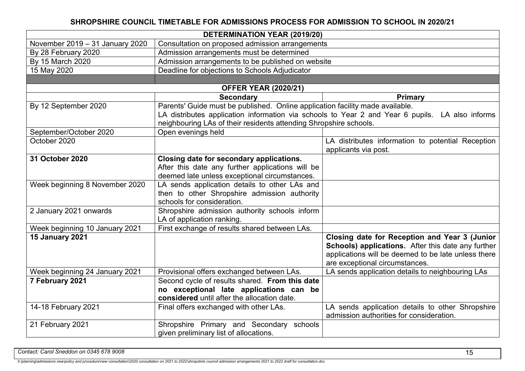# **SHROPSHIRE COUNCIL TIMETABLE FOR ADMISSIONS PROCESS FOR ADMISSION TO SCHOOL IN 2020/21**

| <b>DETERMINATION YEAR (2019/20)</b> |                                                                                                                                        |                                                                                                 |  |
|-------------------------------------|----------------------------------------------------------------------------------------------------------------------------------------|-------------------------------------------------------------------------------------------------|--|
| November 2019 - 31 January 2020     | Consultation on proposed admission arrangements                                                                                        |                                                                                                 |  |
| By 28 February 2020                 | Admission arrangements must be determined                                                                                              |                                                                                                 |  |
| By 15 March 2020                    | Admission arrangements to be published on website                                                                                      |                                                                                                 |  |
| 15 May 2020                         | Deadline for objections to Schools Adjudicator                                                                                         |                                                                                                 |  |
|                                     |                                                                                                                                        |                                                                                                 |  |
|                                     | <b>OFFER YEAR (2020/21)</b>                                                                                                            |                                                                                                 |  |
|                                     | <b>Secondary</b>                                                                                                                       | <b>Primary</b>                                                                                  |  |
| By 12 September 2020                | Parents' Guide must be published. Online application facility made available.                                                          |                                                                                                 |  |
|                                     |                                                                                                                                        | LA distributes application information via schools to Year 2 and Year 6 pupils. LA also informs |  |
|                                     | neighbouring LAs of their residents attending Shropshire schools.                                                                      |                                                                                                 |  |
| September/October 2020              | Open evenings held                                                                                                                     |                                                                                                 |  |
| October 2020                        |                                                                                                                                        | LA distributes information to potential Reception                                               |  |
|                                     | applicants via post.                                                                                                                   |                                                                                                 |  |
| 31 October 2020                     | Closing date for secondary applications.                                                                                               |                                                                                                 |  |
|                                     | After this date any further applications will be                                                                                       |                                                                                                 |  |
|                                     | deemed late unless exceptional circumstances.                                                                                          |                                                                                                 |  |
| Week beginning 8 November 2020      | LA sends application details to other LAs and                                                                                          |                                                                                                 |  |
|                                     | then to other Shropshire admission authority                                                                                           |                                                                                                 |  |
|                                     | schools for consideration.                                                                                                             |                                                                                                 |  |
| 2 January 2021 onwards              | Shropshire admission authority schools inform                                                                                          |                                                                                                 |  |
|                                     | LA of application ranking.                                                                                                             |                                                                                                 |  |
| Week beginning 10 January 2021      | First exchange of results shared between LAs.                                                                                          |                                                                                                 |  |
| <b>15 January 2021</b>              | Closing date for Reception and Year 3 (Junior                                                                                          |                                                                                                 |  |
|                                     |                                                                                                                                        | <b>Schools) applications.</b> After this date any further                                       |  |
|                                     |                                                                                                                                        | applications will be deemed to be late unless there                                             |  |
|                                     |                                                                                                                                        | are exceptional circumstances.                                                                  |  |
| Week beginning 24 January 2021      | Provisional offers exchanged between LAs.                                                                                              | LA sends application details to neighbouring LAs                                                |  |
| 7 February 2021                     | Second cycle of results shared. From this date                                                                                         |                                                                                                 |  |
|                                     | no exceptional late applications can be<br>considered until after the allocation date.                                                 |                                                                                                 |  |
| 14-18 February 2021                 |                                                                                                                                        |                                                                                                 |  |
|                                     | LA sends application details to other Shropshire<br>Final offers exchanged with other LAs.<br>admission authorities for consideration. |                                                                                                 |  |
| 21 February 2021                    | Shropshire Primary and Secondary schools                                                                                               |                                                                                                 |  |
|                                     | given preliminary list of allocations.                                                                                                 |                                                                                                 |  |
|                                     |                                                                                                                                        |                                                                                                 |  |

**Contact: Carol Sneddon on 0345 678 9008** 15

*h:\planning\admissions new\policy and procedure\new consultation\2020 consultation on 2021 to 2022\shropshire council admission arrangements 2021 to 2022 draft for consultation.doc*